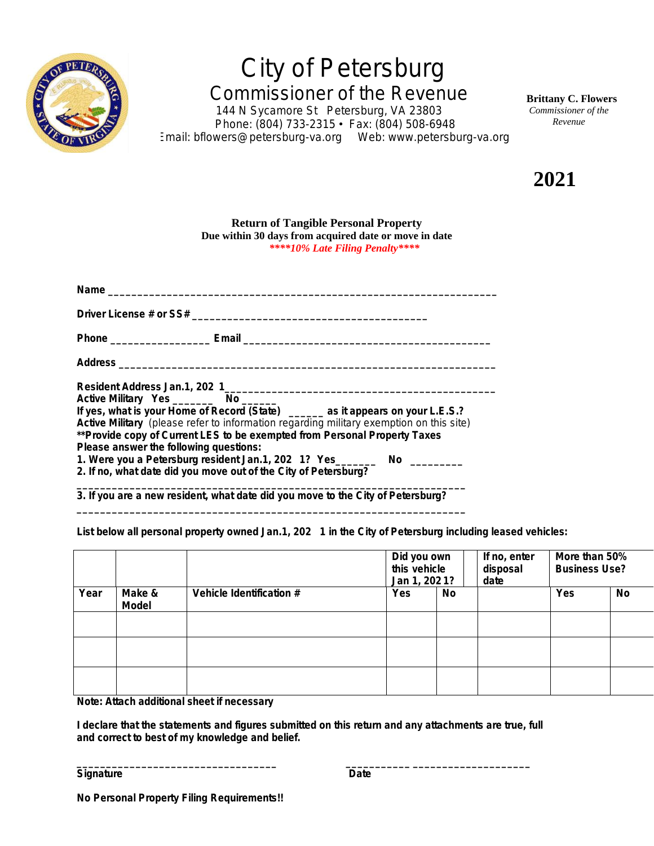

## *City of Petersburg Commissioner of the Revenue*

*144 N Sycamore St Petersburg, VA 23803 Phone: (804) 733-2315* • *Fax: (804) 508-6948 Email: bflowers@petersburg-va.org Web: www.petersburg-va.org* **Brittany C. Flowers**  *Commissioner of the Revenue*

**2021**

## **Return of Tangible Personal Property Due within 30 days from acquired date or move in date** *\*\*\*\*10% Late Filing Penalty\*\*\*\**

| Active Military Yes __________ No _______                                                                                       |  |  |  |  |  |  |  |
|---------------------------------------------------------------------------------------------------------------------------------|--|--|--|--|--|--|--|
| Active Military Pres ___________ NO ______<br>If yes, what is your Home of Record (State) _______ as it appears on your L.E.S.? |  |  |  |  |  |  |  |
| Active Military (please refer to information regarding military exemption on this site)                                         |  |  |  |  |  |  |  |
| **Provide copy of Current LES to be exempted from Personal Property Taxes                                                       |  |  |  |  |  |  |  |
| Please answer the following questions:                                                                                          |  |  |  |  |  |  |  |
| 1. Were you a Petersburg resident Jan.1, 202 1? Yes_________ No __________                                                      |  |  |  |  |  |  |  |
| 2. If no, what date did you move out of the City of Petersburg?                                                                 |  |  |  |  |  |  |  |
| 3. If you are a new resident, what date did you move to the City of Petersburg?                                                 |  |  |  |  |  |  |  |

**\_\_\_\_\_\_\_\_\_\_\_\_\_\_\_\_\_\_\_\_\_\_\_\_\_\_\_\_\_\_\_\_\_\_\_\_\_\_\_\_\_\_\_\_\_\_\_\_\_\_\_\_\_\_\_\_\_\_\_\_\_\_\_\_\_\_**

**List below all personal property owned Jan.1, 202 1 in the City of Petersburg including leased vehicles:**

|      |                        |                          | Did you own<br>this vehicle<br>Jan 1, 2021? |    | If no, enter<br>disposal<br>date | More than 50%<br><b>Business Use?</b> |    |
|------|------------------------|--------------------------|---------------------------------------------|----|----------------------------------|---------------------------------------|----|
| Year | Make &<br><b>Model</b> | Vehicle Identification # | Yes                                         | No |                                  | Yes                                   | No |
|      |                        |                          |                                             |    |                                  |                                       |    |
|      |                        |                          |                                             |    |                                  |                                       |    |
|      |                        |                          |                                             |    |                                  |                                       |    |

**Note: Attach additional sheet if necessary**

**I declare that the statements and figures submitted on this return and any attachments are true, full and correct to best of my knowledge and belief.**

**\_\_\_\_\_\_\_\_\_\_\_\_\_\_\_\_\_\_\_\_\_\_\_\_\_\_\_\_\_\_\_\_\_\_ \_\_\_\_\_\_\_\_\_\_\_ \_\_\_\_\_\_\_\_\_\_\_\_\_\_\_\_\_\_\_\_**

Signature **Date**